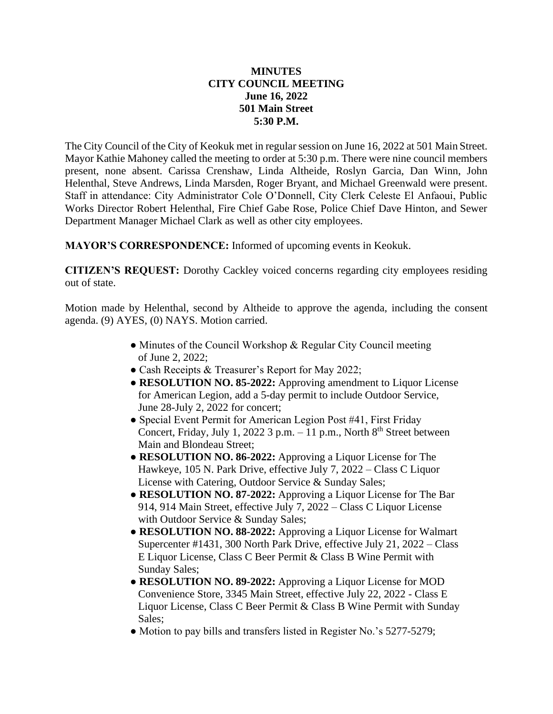## **MINUTES CITY COUNCIL MEETING June 16, 2022 501 Main Street 5:30 P.M.**

The City Council of the City of Keokuk met in regular session on June 16, 2022 at 501 Main Street. Mayor Kathie Mahoney called the meeting to order at 5:30 p.m. There were nine council members present, none absent. Carissa Crenshaw, Linda Altheide, Roslyn Garcia, Dan Winn, John Helenthal, Steve Andrews, Linda Marsden, Roger Bryant, and Michael Greenwald were present. Staff in attendance: City Administrator Cole O'Donnell, City Clerk Celeste El Anfaoui, Public Works Director Robert Helenthal, Fire Chief Gabe Rose, Police Chief Dave Hinton, and Sewer Department Manager Michael Clark as well as other city employees.

**MAYOR'S CORRESPONDENCE:** Informed of upcoming events in Keokuk.

**CITIZEN'S REQUEST:** Dorothy Cackley voiced concerns regarding city employees residing out of state.

Motion made by Helenthal, second by Altheide to approve the agenda, including the consent agenda. (9) AYES, (0) NAYS. Motion carried.

- Minutes of the Council Workshop & Regular City Council meeting of June 2, 2022;
- Cash Receipts & Treasurer's Report for May 2022;
- **RESOLUTION NO. 85-2022:** Approving amendment to Liquor License for American Legion, add a 5-day permit to include Outdoor Service, June 28-July 2, 2022 for concert;
- Special Event Permit for American Legion Post #41, First Friday Concert, Friday, July 1, 2022 3 p.m.  $-11$  p.m., North  $8<sup>th</sup>$  Street between Main and Blondeau Street;
- **RESOLUTION NO. 86-2022:** Approving a Liquor License for The Hawkeye, 105 N. Park Drive, effective July 7, 2022 – Class C Liquor License with Catering, Outdoor Service & Sunday Sales;
- **RESOLUTION NO. 87-2022:** Approving a Liquor License for The Bar 914, 914 Main Street, effective July 7, 2022 – Class C Liquor License with Outdoor Service & Sunday Sales;
- **RESOLUTION NO. 88-2022:** Approving a Liquor License for Walmart Supercenter #1431, 300 North Park Drive, effective July 21, 2022 – Class E Liquor License, Class C Beer Permit & Class B Wine Permit with Sunday Sales;
- **RESOLUTION NO. 89-2022:** Approving a Liquor License for MOD Convenience Store, 3345 Main Street, effective July 22, 2022 - Class E Liquor License, Class C Beer Permit & Class B Wine Permit with Sunday Sales;
- Motion to pay bills and transfers listed in Register No.'s 5277-5279;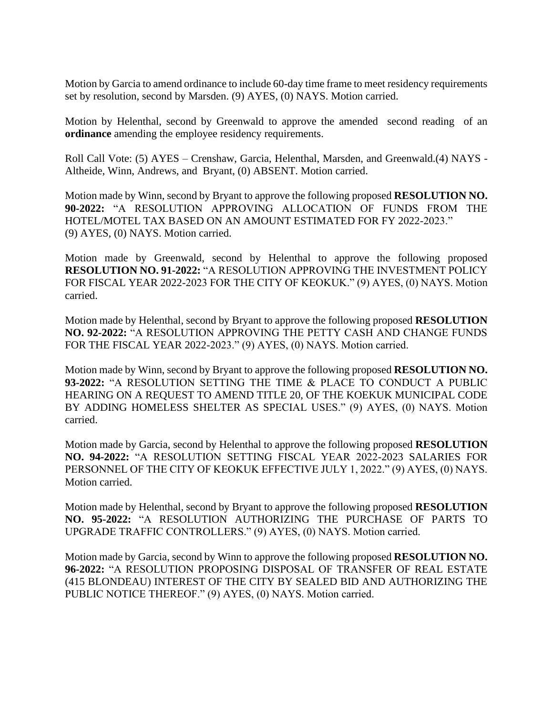Motion by Garcia to amend ordinance to include 60-day time frame to meet residency requirements set by resolution, second by Marsden. (9) AYES, (0) NAYS. Motion carried.

Motion by Helenthal, second by Greenwald to approve the amended second reading of an **ordinance** amending the employee residency requirements.

Roll Call Vote: (5) AYES – Crenshaw, Garcia, Helenthal, Marsden, and Greenwald.(4) NAYS - Altheide, Winn, Andrews, and Bryant, (0) ABSENT. Motion carried.

Motion made by Winn, second by Bryant to approve the following proposed **RESOLUTION NO. 90-2022:** "A RESOLUTION APPROVING ALLOCATION OF FUNDS FROM THE HOTEL/MOTEL TAX BASED ON AN AMOUNT ESTIMATED FOR FY 2022-2023." (9) AYES, (0) NAYS. Motion carried.

Motion made by Greenwald, second by Helenthal to approve the following proposed **RESOLUTION NO. 91-2022:** "A RESOLUTION APPROVING THE INVESTMENT POLICY FOR FISCAL YEAR 2022-2023 FOR THE CITY OF KEOKUK." (9) AYES, (0) NAYS. Motion carried.

Motion made by Helenthal, second by Bryant to approve the following proposed **RESOLUTION NO. 92-2022:** "A RESOLUTION APPROVING THE PETTY CASH AND CHANGE FUNDS FOR THE FISCAL YEAR 2022-2023." (9) AYES, (0) NAYS. Motion carried.

Motion made by Winn, second by Bryant to approve the following proposed **RESOLUTION NO. 93-2022:** "A RESOLUTION SETTING THE TIME & PLACE TO CONDUCT A PUBLIC HEARING ON A REQUEST TO AMEND TITLE 20, OF THE KOEKUK MUNICIPAL CODE BY ADDING HOMELESS SHELTER AS SPECIAL USES." (9) AYES, (0) NAYS. Motion carried.

Motion made by Garcia, second by Helenthal to approve the following proposed **RESOLUTION NO. 94-2022:** "A RESOLUTION SETTING FISCAL YEAR 2022-2023 SALARIES FOR PERSONNEL OF THE CITY OF KEOKUK EFFECTIVE JULY 1, 2022." (9) AYES, (0) NAYS. Motion carried.

Motion made by Helenthal, second by Bryant to approve the following proposed **RESOLUTION NO. 95-2022:** "A RESOLUTION AUTHORIZING THE PURCHASE OF PARTS TO UPGRADE TRAFFIC CONTROLLERS." (9) AYES, (0) NAYS. Motion carried.

Motion made by Garcia, second by Winn to approve the following proposed **RESOLUTION NO. 96-2022:** "A RESOLUTION PROPOSING DISPOSAL OF TRANSFER OF REAL ESTATE (415 BLONDEAU) INTEREST OF THE CITY BY SEALED BID AND AUTHORIZING THE PUBLIC NOTICE THEREOF." (9) AYES, (0) NAYS. Motion carried.